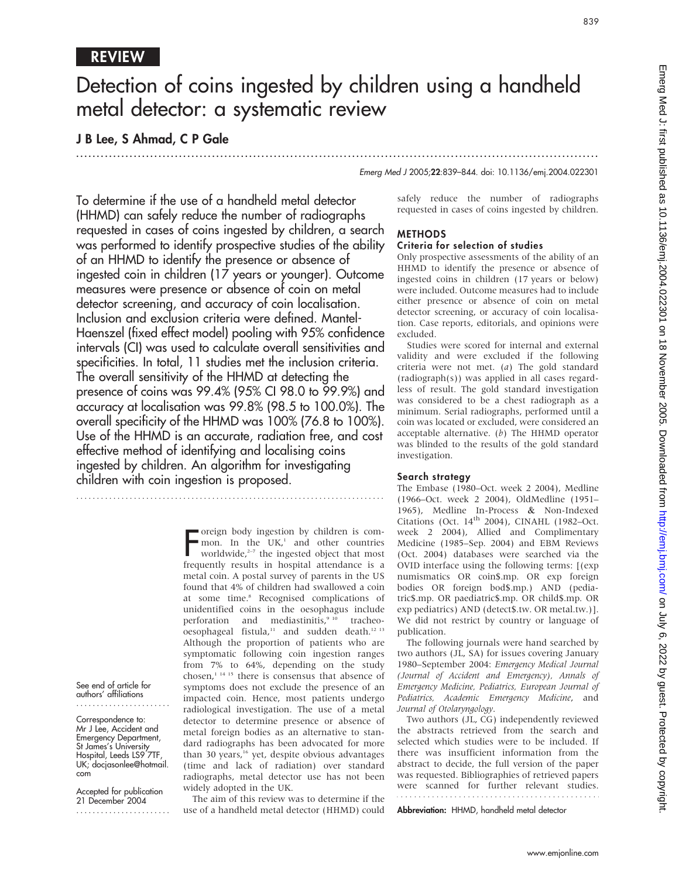## REVIEW

See end of article for authors' affiliations

Correspondence to: Mr J Lee, Accident and Emergency Department, St James's University Hospital, Leeds LS9 7TF, UK; docjasonlee@hotmail.

Accepted for publication 21 December 2004 .......................

com

# Detection of coins ingested by children using a handheld metal detector: a systematic review

...............................................................................................................................

## J B Lee, S Ahmad, C P Gale

Emerg Med J 2005;22:839–844. doi: 10.1136/emj.2004.022301

To determine if the use of a handheld metal detector (HHMD) can safely reduce the number of radiographs requested in cases of coins ingested by children, a search was performed to identify prospective studies of the ability of an HHMD to identify the presence or absence of ingested coin in children (17 years or younger). Outcome measures were presence or absence of coin on metal detector screening, and accuracy of coin localisation. Inclusion and exclusion criteria were defined. Mantel-Haenszel (fixed effect model) pooling with 95% confidence intervals (CI) was used to calculate overall sensitivities and specificities. In total, 11 studies met the inclusion criteria. The overall sensitivity of the HHMD at detecting the presence of coins was 99.4% (95% CI 98.0 to 99.9%) and accuracy at localisation was 99.8% (98.5 to 100.0%). The overall specificity of the HHMD was 100% (76.8 to 100%). Use of the HHMD is an accurate, radiation free, and cost effective method of identifying and localising coins ingested by children. An algorithm for investigating children with coin ingestion is proposed.

> Foreign body ingestion by children is com-<br>mon. In the UK,<sup>1</sup> and other countries<br>worldwide,<sup>2-7</sup> the ingested object that most<br>frequently results in hospital attendance is a oreign body ingestion by children is common. In the UK,<sup>1</sup> and other countries worldwide, $2-7$  the ingested object that most metal coin. A postal survey of parents in the US found that 4% of children had swallowed a coin at some time.<sup>8</sup> Recognised complications of unidentified coins in the oesophagus include perforation and mediastinitis,<sup>9 10</sup> tracheooesophageal fistula,<sup>11</sup> and sudden death.<sup>12 13</sup> Although the proportion of patients who are symptomatic following coin ingestion ranges from 7% to 64%, depending on the study chosen,1 14 15 there is consensus that absence of symptoms does not exclude the presence of an impacted coin. Hence, most patients undergo radiological investigation. The use of a metal detector to determine presence or absence of metal foreign bodies as an alternative to standard radiographs has been advocated for more than 30 years,<sup>16</sup> yet, despite obvious advantages (time and lack of radiation) over standard radiographs, metal detector use has not been widely adopted in the UK.

The aim of this review was to determine if the use of a handheld metal detector (HHMD) could

safely reduce the number of radiographs requested in cases of coins ingested by children.

#### METHODS Criteria for selection of studies

Only prospective assessments of the ability of an HHMD to identify the presence or absence of ingested coins in children (17 years or below) were included. Outcome measures had to include either presence or absence of coin on metal detector screening, or accuracy of coin localisation. Case reports, editorials, and opinions were excluded.

Studies were scored for internal and external validity and were excluded if the following criteria were not met. (a) The gold standard (radiograph(s)) was applied in all cases regardless of result. The gold standard investigation was considered to be a chest radiograph as a minimum. Serial radiographs, performed until a coin was located or excluded, were considered an acceptable alternative.  $(b)$  The HHMD operator was blinded to the results of the gold standard investigation.

## Search strategy

The Embase (1980–Oct. week 2 2004), Medline (1966–Oct. week 2 2004), OldMedline (1951– 1965), Medline In-Process & Non-Indexed Citations (Oct. 14<sup>th</sup> 2004), CINAHL (1982-Oct. week 2 2004), Allied and Complimentary Medicine (1985–Sep. 2004) and EBM Reviews (Oct. 2004) databases were searched via the OVID interface using the following terms: [(exp numismatics OR coin\$.mp. OR exp foreign bodies OR foreign bod\$.mp.) AND (pediatric\$.mp. OR paediatric\$.mp. OR child\$.mp. OR exp pediatrics) AND (detect\$.tw. OR metal.tw.)]. We did not restrict by country or language of publication.

The following journals were hand searched by two authors (JL, SA) for issues covering January 1980–September 2004: Emergency Medical Journal (Journal of Accident and Emergency), Annals of Emergency Medicine, Pediatrics, European Journal of Pediatrics, Academic Emergency Medicine, and Journal of Otolaryngology.

Two authors (JL, CG) independently reviewed the abstracts retrieved from the search and selected which studies were to be included. If there was insufficient information from the abstract to decide, the full version of the paper was requested. Bibliographies of retrieved papers were scanned for further relevant studies.

Abbreviation: HHMD, handheld metal detector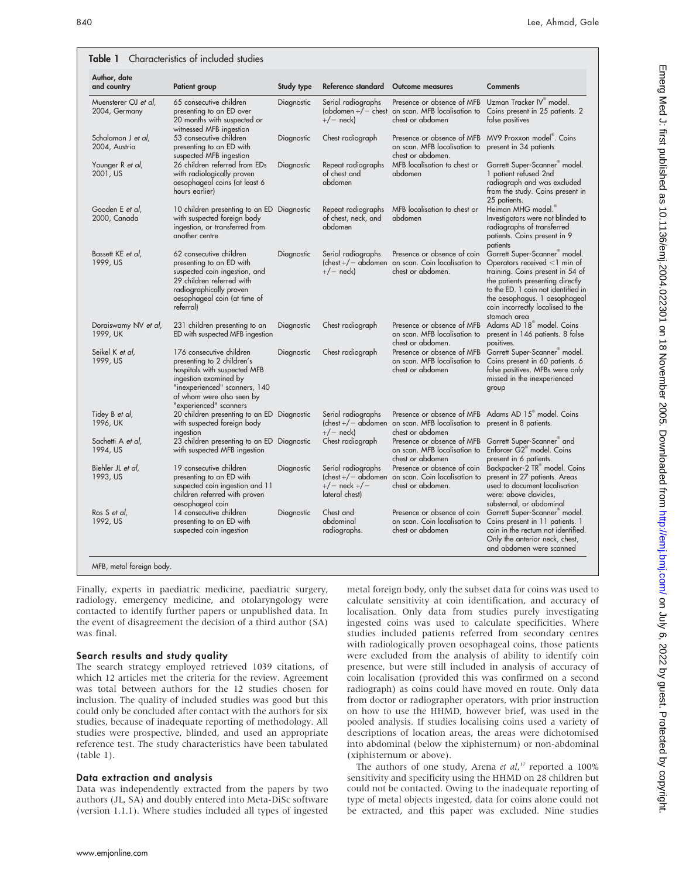| Author, date<br>and country           | Patient group                                                                                                                                                                                           | Study type | Reference standard                                                                    | <b>Outcome measures</b>                                                                                     | <b>Comments</b>                                                                                                                                                                                                                                                   |
|---------------------------------------|---------------------------------------------------------------------------------------------------------------------------------------------------------------------------------------------------------|------------|---------------------------------------------------------------------------------------|-------------------------------------------------------------------------------------------------------------|-------------------------------------------------------------------------------------------------------------------------------------------------------------------------------------------------------------------------------------------------------------------|
| Muensterer OJ et al,<br>2004, Germany | 65 consecutive children<br>presenting to an ED over<br>20 months with suspected or<br>witnessed MFB ingestion                                                                                           | Diagnostic | Serial radiographs<br>$+/-$ neck)                                                     | Presence or absence of MFB<br>(abdomen $+/-$ chest on scan. MFB localisation to<br>chest or abdomen         | Uzman Tracker IV® model.<br>Coins present in 25 patients. 2<br>false positives                                                                                                                                                                                    |
| Schalamon J et al,<br>2004, Austria   | 53 consecutive children<br>presenting to an ED with<br>suspected MFB ingestion                                                                                                                          | Diagnostic | Chest radiograph                                                                      | on scan. MFB localisation to<br>chest or abdomen.                                                           | Presence or absence of MFB MV9 Proxxon model®. Coins<br>present in 34 patients                                                                                                                                                                                    |
| Younger R et al,<br>2001, US          | 26 children referred from EDs<br>with radiologically proven<br>oesophageal coins (at least 6<br>hours earlier)                                                                                          | Diagnostic | Repeat radiographs<br>of chest and<br>abdomen                                         | MFB localisation to chest or<br>abdomen                                                                     | Garrett Super-Scanner <sup>®</sup> model.<br>1 patient refused 2nd<br>radiograph and was excluded<br>from the study. Coins present in<br>25 patients.                                                                                                             |
| Gooden E et al,<br>2000, Canada       | 10 children presenting to an ED Diagnostic<br>with suspected foreign body<br>ingestion, or transferred from<br>another centre                                                                           |            | Repeat radiographs<br>of chest, neck, and<br>abdomen                                  | MFB localisation to chest or<br>abdomen                                                                     | Heiman MHG model.®<br>Investigators were not blinded to<br>radiographs of transferred<br>patients. Coins present in 9<br>patients                                                                                                                                 |
| Bassett KE et al,<br>1999, US         | 62 consecutive children<br>presenting to an ED with<br>suspected coin ingestion, and<br>29 children referred with<br>radiographically proven<br>oesophageal coin (at time of<br>referral)               | Diagnostic | Serial radiographs<br>$+/-$ neck)                                                     | Presence or absence of coin<br>$($ chest + $/$ - abdomen on scan. Coin localisation to<br>chest or abdomen. | Garrett Super-Scanner model.<br>Operators received <1 min of<br>training. Coins present in 54 of<br>the patients presenting directly<br>to the ED. 1 coin not identified in<br>the oesophagus. 1 oesophageal<br>coin incorrectly localised to the<br>stomach area |
| Doraiswamy NV et al,<br>1999, UK      | 231 children presenting to an<br>ED with suspected MFB ingestion                                                                                                                                        | Diagnostic | Chest radiograph                                                                      | Presence or absence of MFB<br>on scan. MFB localisation to<br>chest or abdomen.                             | Adams AD 18 <sup>®</sup> model. Coins<br>present in 146 patients. 8 false<br>positives.                                                                                                                                                                           |
| Seikel K et al,<br>1999, US           | 176 consecutive children<br>presenting to 2 children's<br>hospitals with suspected MFB<br>ingestion examined by<br>"inexperienced" scanners, 140<br>of whom were also seen by<br>"experienced" scanners | Diagnostic | Chest radiograph                                                                      | Presence or absence of MFB<br>on scan. MFB localisation to<br>chest or abdomen                              | Garrett Super-Scanner <sup>®</sup> model.<br>Coins present in 60 patients. 6<br>false positives. MFBs were only<br>missed in the inexperienced<br>group                                                                                                           |
| Tidey B et al,<br>1996, UK            | 20 children presenting to an ED Diagnostic<br>with suspected foreign body<br>ingestion                                                                                                                  |            | Serial radiographs<br>$+/-$ neck)                                                     | (chest $+/-$ abdomen on scan. MFB localisation to present in 8 patients.<br>chest or abdomen                | Presence or absence of MFB Adams AD 15 <sup>®</sup> model. Coins                                                                                                                                                                                                  |
| Sachetti A et al,<br>1994, US         | 23 children presenting to an ED Diagnostic<br>with suspected MFB ingestion                                                                                                                              |            | Chest radiograph                                                                      | Presence or absence of MFB<br>on scan. MFB localisation to<br>chest or abdomen                              | Garrett Super-Scanner and<br>Enforcer G2 <sup>®</sup> model. Coins<br>present in 6 patients.                                                                                                                                                                      |
| Biehler JL et al,<br>1993, US         | 19 consecutive children<br>presenting to an ED with<br>suspected coin ingestion and 11<br>children referred with proven<br>oesophageal coin                                                             | Diagnostic | Serial radiographs<br>$($ chest + $/$ - abdomen<br>$+/-$ neck $+/-$<br>lateral chest) | Presence or absence of coin<br>on scan. Coin localisation to<br>chest or abdomen.                           | Backpacker-2 TR® model. Coins<br>present in 27 patients. Areas<br>used to document localisation<br>were: above clavicles,<br>substernal, or abdominal                                                                                                             |
| Ros S et al,<br>1992, US              | 14 consecutive children<br>presenting to an ED with<br>suspected coin ingestion                                                                                                                         | Diagnostic | Chest and<br>abdominal<br>radiographs.                                                | Presence or absence of coin<br>on scan. Coin localisation to<br>chest or abdomen                            | Garrett Super-Scanner <sup>®</sup> model.<br>Coins present in 11 patients. 1<br>coin in the rectum not identified.<br>Only the anterior neck, chest,<br>and abdomen were scanned                                                                                  |

Finally, experts in paediatric medicine, paediatric surgery, radiology, emergency medicine, and otolaryngology were contacted to identify further papers or unpublished data. In the event of disagreement the decision of a third author (SA) was final.

#### Search results and study quality

The search strategy employed retrieved 1039 citations, of which 12 articles met the criteria for the review. Agreement was total between authors for the 12 studies chosen for inclusion. The quality of included studies was good but this could only be concluded after contact with the authors for six studies, because of inadequate reporting of methodology. All studies were prospective, blinded, and used an appropriate reference test. The study characteristics have been tabulated (table 1).

#### Data extraction and analysis

Data was independently extracted from the papers by two authors (JL, SA) and doubly entered into Meta-DiSc software (version 1.1.1). Where studies included all types of ingested metal foreign body, only the subset data for coins was used to calculate sensitivity at coin identification, and accuracy of localisation. Only data from studies purely investigating ingested coins was used to calculate specificities. Where studies included patients referred from secondary centres with radiologically proven oesophageal coins, those patients were excluded from the analysis of ability to identify coin presence, but were still included in analysis of accuracy of coin localisation (provided this was confirmed on a second radiograph) as coins could have moved en route. Only data from doctor or radiographer operators, with prior instruction on how to use the HHMD, however brief, was used in the pooled analysis. If studies localising coins used a variety of descriptions of location areas, the areas were dichotomised into abdominal (below the xiphisternum) or non-abdominal (xiphisternum or above).

The authors of one study, Arena et al,<sup>17</sup> reported a 100% sensitivity and specificity using the HHMD on 28 children but could not be contacted. Owing to the inadequate reporting of type of metal objects ingested, data for coins alone could not be extracted, and this paper was excluded. Nine studies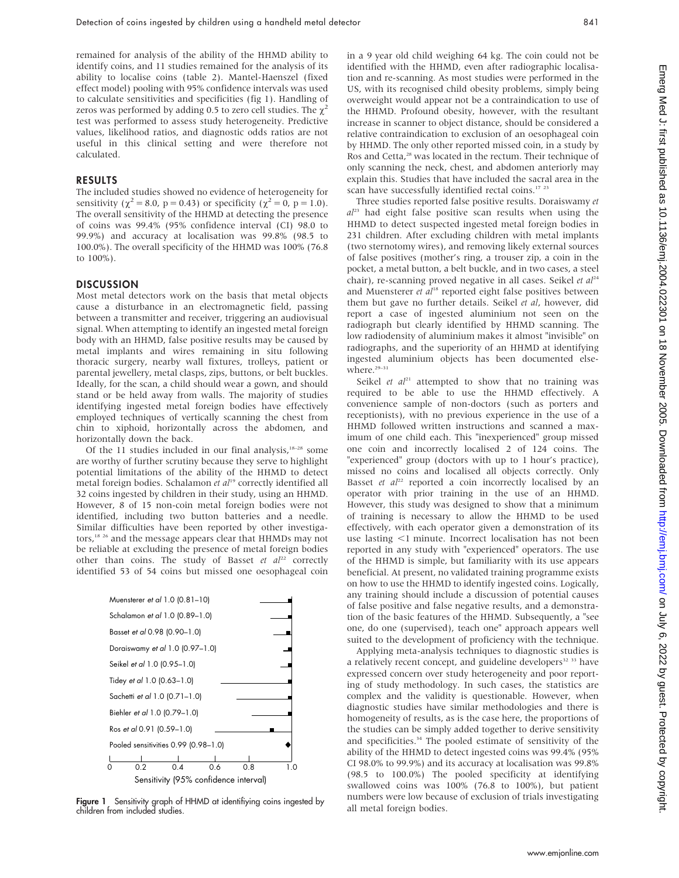remained for analysis of the ability of the HHMD ability to identify coins, and 11 studies remained for the analysis of its ability to localise coins (table 2). Mantel-Haenszel (fixed effect model) pooling with 95% confidence intervals was used to calculate sensitivities and specificities (fig 1). Handling of zeros was performed by adding 0.5 to zero cell studies. The  $\chi^2$ test was performed to assess study heterogeneity. Predictive values, likelihood ratios, and diagnostic odds ratios are not useful in this clinical setting and were therefore not calculated.

## RESULTS

The included studies showed no evidence of heterogeneity for sensitivity ( $\chi^2 = 8.0$ , p = 0.43) or specificity ( $\chi^2 = 0$ , p = 1.0). The overall sensitivity of the HHMD at detecting the presence of coins was 99.4% (95% confidence interval (CI) 98.0 to 99.9%) and accuracy at localisation was 99.8% (98.5 to 100.0%). The overall specificity of the HHMD was 100% (76.8 to 100%).

## **DISCUSSION**

Most metal detectors work on the basis that metal objects cause a disturbance in an electromagnetic field, passing between a transmitter and receiver, triggering an audiovisual signal. When attempting to identify an ingested metal foreign body with an HHMD, false positive results may be caused by metal implants and wires remaining in situ following thoracic surgery, nearby wall fixtures, trolleys, patient or parental jewellery, metal clasps, zips, buttons, or belt buckles. Ideally, for the scan, a child should wear a gown, and should stand or be held away from walls. The majority of studies identifying ingested metal foreign bodies have effectively employed techniques of vertically scanning the chest from chin to xiphoid, horizontally across the abdomen, and horizontally down the back.

Of the 11 studies included in our final analysis, $18-28$  some are worthy of further scrutiny because they serve to highlight potential limitations of the ability of the HHMD to detect metal foreign bodies. Schalamon et al<sup>19</sup> correctly identified all 32 coins ingested by children in their study, using an HHMD. However, 8 of 15 non-coin metal foreign bodies were not identified, including two button batteries and a needle. Similar difficulties have been reported by other investigators,<sup>18,26</sup> and the message appears clear that HHMDs may not be reliable at excluding the presence of metal foreign bodies other than coins. The study of Basset et  $al^{22}$  correctly identified 53 of 54 coins but missed one oesophageal coin



**Figure 1** Sensitivity graph of HHMD at identifiying coins ingested by children from included studies.

in a 9 year old child weighing 64 kg. The coin could not be identified with the HHMD, even after radiographic localisation and re-scanning. As most studies were performed in the US, with its recognised child obesity problems, simply being overweight would appear not be a contraindication to use of the HHMD. Profound obesity, however, with the resultant increase in scanner to object distance, should be considered a relative contraindication to exclusion of an oesophageal coin by HHMD. The only other reported missed coin, in a study by Ros and Cetta,<sup>28</sup> was located in the rectum. Their technique of only scanning the neck, chest, and abdomen anteriorly may explain this. Studies that have included the sacral area in the scan have successfully identified rectal coins.<sup>17</sup><sup>23</sup>

Three studies reported false positive results. Doraiswamy et  $al^{23}$  had eight false positive scan results when using the HHMD to detect suspected ingested metal foreign bodies in 231 children. After excluding children with metal implants (two sternotomy wires), and removing likely external sources of false positives (mother's ring, a trouser zip, a coin in the pocket, a metal button, a belt buckle, and in two cases, a steel chair), re-scanning proved negative in all cases. Seikel et  $al^{24}$ and Muensterer et  $al^{18}$  reported eight false positives between them but gave no further details. Seikel et al, however, did report a case of ingested aluminium not seen on the radiograph but clearly identified by HHMD scanning. The low radiodensity of aluminium makes it almost "invisible" on radiographs, and the superiority of an HHMD at identifying ingested aluminium objects has been documented elsewhere.<sup>29-31</sup>

Seikel et  $al^{21}$  attempted to show that no training was required to be able to use the HHMD effectively. A convenience sample of non-doctors (such as porters and receptionists), with no previous experience in the use of a HHMD followed written instructions and scanned a maximum of one child each. This "inexperienced" group missed one coin and incorrectly localised 2 of 124 coins. The "experienced" group (doctors with up to 1 hour's practice), missed no coins and localised all objects correctly. Only Basset et  $al^{22}$  reported a coin incorrectly localised by an operator with prior training in the use of an HHMD. However, this study was designed to show that a minimum of training is necessary to allow the HHMD to be used effectively, with each operator given a demonstration of its use lasting  $\leq$ 1 minute. Incorrect localisation has not been reported in any study with "experienced" operators. The use of the HHMD is simple, but familiarity with its use appears beneficial. At present, no validated training programme exists on how to use the HHMD to identify ingested coins. Logically, any training should include a discussion of potential causes of false positive and false negative results, and a demonstration of the basic features of the HHMD. Subsequently, a "see one, do one (supervised), teach one" approach appears well suited to the development of proficiency with the technique.

Applying meta-analysis techniques to diagnostic studies is a relatively recent concept, and guideline developers $32$  33 have expressed concern over study heterogeneity and poor reporting of study methodology. In such cases, the statistics are complex and the validity is questionable. However, when diagnostic studies have similar methodologies and there is homogeneity of results, as is the case here, the proportions of the studies can be simply added together to derive sensitivity and specificities.<sup>34</sup> The pooled estimate of sensitivity of the ability of the HHMD to detect ingested coins was 99.4% (95% CI 98.0% to 99.9%) and its accuracy at localisation was 99.8% (98.5 to 100.0%) The pooled specificity at identifying swallowed coins was 100% (76.8 to 100%), but patient numbers were low because of exclusion of trials investigating all metal foreign bodies.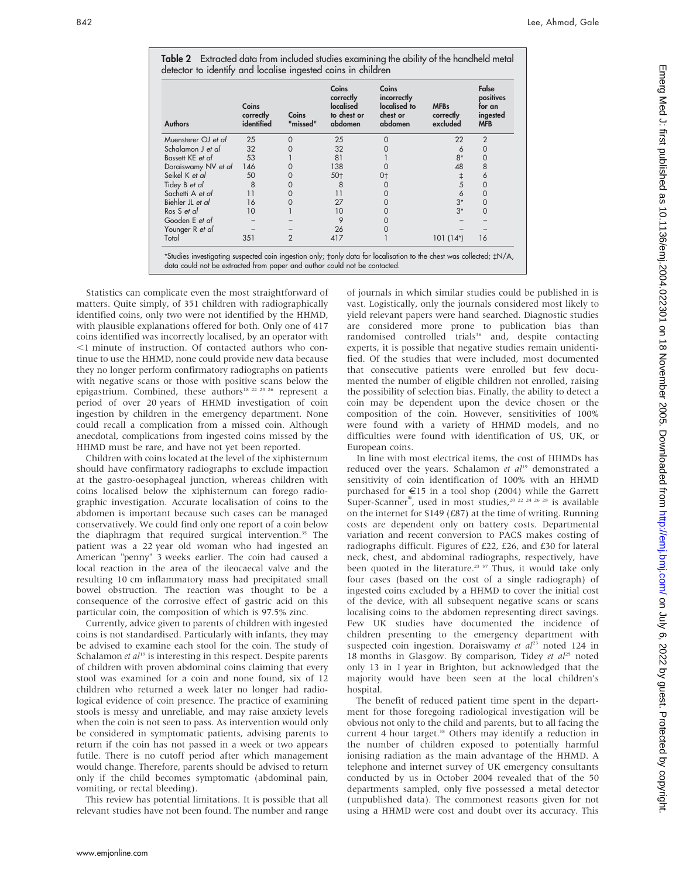| <b>Authors</b>       | Coins<br>correctly<br>identified | Coins<br>"missed" | Coins<br>correctly<br>localised<br>to chest or<br>abdomen | Coins<br>incorrectly<br>localised to<br>chest or<br>abdomen | <b>MFBs</b><br>correctly<br>excluded | False<br>positives<br>for an<br>ingested<br><b>MFB</b> |
|----------------------|----------------------------------|-------------------|-----------------------------------------------------------|-------------------------------------------------------------|--------------------------------------|--------------------------------------------------------|
| Muensterer OJ et al  | 25                               |                   | 25                                                        |                                                             | 22                                   | $\overline{2}$                                         |
| Schalamon J et al    | 32                               |                   | 32                                                        |                                                             |                                      | 0                                                      |
| Bassett KE et al     | 53                               |                   | 81                                                        |                                                             | $8*$                                 | $\Omega$                                               |
| Doraiswamy NV et al  | 146                              |                   | 138                                                       |                                                             | 48                                   | 8                                                      |
| Seikel K et al       | 50                               |                   | $50+$                                                     | 0†                                                          |                                      | 6                                                      |
| Tidey B <i>et al</i> | 8                                |                   | 8                                                         |                                                             |                                      | 0                                                      |
| Sachetti A et al     | 11                               |                   | 11                                                        |                                                             |                                      | 0                                                      |
| Biehler JL et al     | 16                               |                   | 27                                                        |                                                             | $3*$                                 | 0                                                      |
| Ros S et al          | 10                               |                   | 10                                                        |                                                             | $3*$                                 |                                                        |
| Gooden E et al       |                                  |                   |                                                           |                                                             |                                      |                                                        |
| Younger R et al      |                                  |                   | 26                                                        |                                                             |                                      |                                                        |
| Total                | 351                              | 2                 | 417                                                       |                                                             | $101(14^*)$                          | 16                                                     |

Table 2 Extracted data from included studies examining the ability of the handheld metal

Statistics can complicate even the most straightforward of matters. Quite simply, of 351 children with radiographically identified coins, only two were not identified by the HHMD, with plausible explanations offered for both. Only one of 417 coins identified was incorrectly localised, by an operator with ,1 minute of instruction. Of contacted authors who continue to use the HHMD, none could provide new data because they no longer perform confirmatory radiographs on patients with negative scans or those with positive scans below the epigastrium. Combined, these authors<sup>18 22 23 26</sup> represent a period of over 20 years of HHMD investigation of coin ingestion by children in the emergency department. None could recall a complication from a missed coin. Although anecdotal, complications from ingested coins missed by the HHMD must be rare, and have not yet been reported.

Children with coins located at the level of the xiphisternum should have confirmatory radiographs to exclude impaction at the gastro-oesophageal junction, whereas children with coins localised below the xiphisternum can forego radiographic investigation. Accurate localisation of coins to the abdomen is important because such cases can be managed conservatively. We could find only one report of a coin below the diaphragm that required surgical intervention.<sup>35</sup> The patient was a 22 year old woman who had ingested an American "penny" 3 weeks earlier. The coin had caused a local reaction in the area of the ileocaecal valve and the resulting 10 cm inflammatory mass had precipitated small bowel obstruction. The reaction was thought to be a consequence of the corrosive effect of gastric acid on this particular coin, the composition of which is 97.5% zinc.

Currently, advice given to parents of children with ingested coins is not standardised. Particularly with infants, they may be advised to examine each stool for the coin. The study of Schalamon et  $al^{19}$  is interesting in this respect. Despite parents of children with proven abdominal coins claiming that every stool was examined for a coin and none found, six of 12 children who returned a week later no longer had radiological evidence of coin presence. The practice of examining stools is messy and unreliable, and may raise anxiety levels when the coin is not seen to pass. As intervention would only be considered in symptomatic patients, advising parents to return if the coin has not passed in a week or two appears futile. There is no cutoff period after which management would change. Therefore, parents should be advised to return only if the child becomes symptomatic (abdominal pain, vomiting, or rectal bleeding).

This review has potential limitations. It is possible that all relevant studies have not been found. The number and range of journals in which similar studies could be published in is vast. Logistically, only the journals considered most likely to yield relevant papers were hand searched. Diagnostic studies are considered more prone to publication bias than randomised controlled trials<sup>36</sup> and, despite contacting experts, it is possible that negative studies remain unidentified. Of the studies that were included, most documented that consecutive patients were enrolled but few documented the number of eligible children not enrolled, raising the possibility of selection bias. Finally, the ability to detect a coin may be dependent upon the device chosen or the composition of the coin. However, sensitivities of 100% were found with a variety of HHMD models, and no difficulties were found with identification of US, UK, or European coins.

In line with most electrical items, the cost of HHMDs has reduced over the years. Schalamon et  $al^{19}$  demonstrated a sensitivity of coin identification of 100% with an HHMD purchased for  $\epsilon$ 15 in a tool shop (2004) while the Garrett Super-Scanner<sup>®</sup>, used in most studies,<sup>20 22 24 26 28</sup> is available on the internet for \$149 (£87) at the time of writing. Running costs are dependent only on battery costs. Departmental variation and recent conversion to PACS makes costing of radiographs difficult. Figures of £22, £26, and £30 for lateral neck, chest, and abdominal radiographs, respectively, have been quoted in the literature.<sup>23 37</sup> Thus, it would take only four cases (based on the cost of a single radiograph) of ingested coins excluded by a HHMD to cover the initial cost of the device, with all subsequent negative scans or scans localising coins to the abdomen representing direct savings. Few UK studies have documented the incidence of children presenting to the emergency department with suspected coin ingestion. Doraiswamy et  $al^{23}$  noted 124 in 18 months in Glasgow. By comparison, Tidey et  $al^{25}$  noted only 13 in 1 year in Brighton, but acknowledged that the majority would have been seen at the local children's hospital.

The benefit of reduced patient time spent in the department for those foregoing radiological investigation will be obvious not only to the child and parents, but to all facing the current 4 hour target.<sup>38</sup> Others may identify a reduction in the number of children exposed to potentially harmful ionising radiation as the main advantage of the HHMD. A telephone and internet survey of UK emergency consultants conducted by us in October 2004 revealed that of the 50 departments sampled, only five possessed a metal detector (unpublished data). The commonest reasons given for not using a HHMD were cost and doubt over its accuracy. This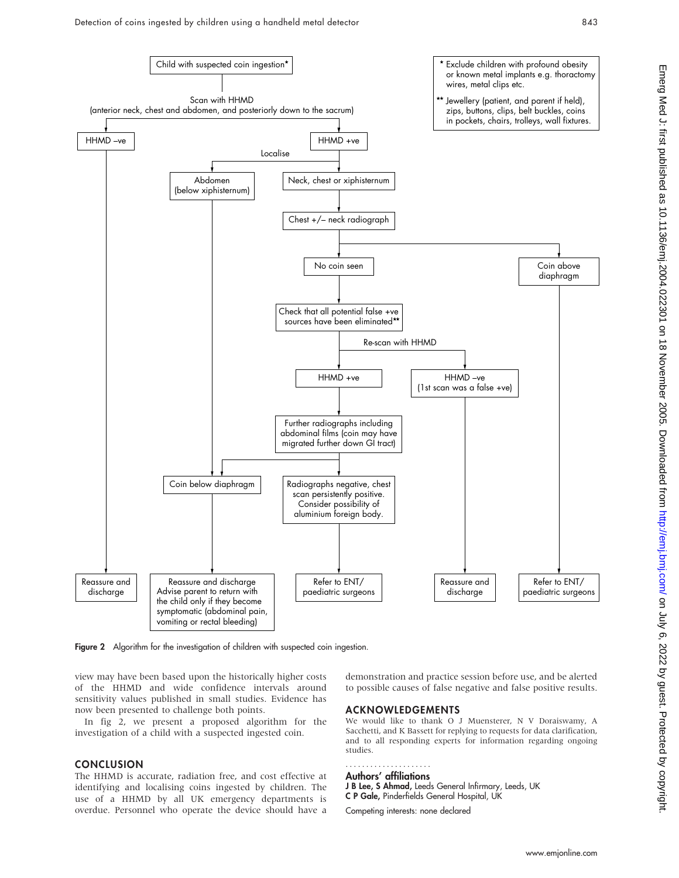

Figure 2 Algorithm for the investigation of children with suspected coin ingestion.

view may have been based upon the historically higher costs of the HHMD and wide confidence intervals around sensitivity values published in small studies. Evidence has now been presented to challenge both points.

In fig 2, we present a proposed algorithm for the investigation of a child with a suspected ingested coin.

### **CONCLUSION**

The HHMD is accurate, radiation free, and cost effective at identifying and localising coins ingested by children. The use of a HHMD by all UK emergency departments is overdue. Personnel who operate the device should have a

demonstration and practice session before use, and be alerted to possible causes of false negative and false positive results.

#### ACKNOWLEDGEMENTS

We would like to thank O J Muensterer, N V Doraiswamy, A Sacchetti, and K Bassett for replying to requests for data clarification, and to all responding experts for information regarding ongoing studies.

#### Authors' affiliations .....................

J B Lee, S Ahmad, Leeds General Infirmary, Leeds, UK C P Gale, Pinderfields General Hospital, UK

Competing interests: none declared